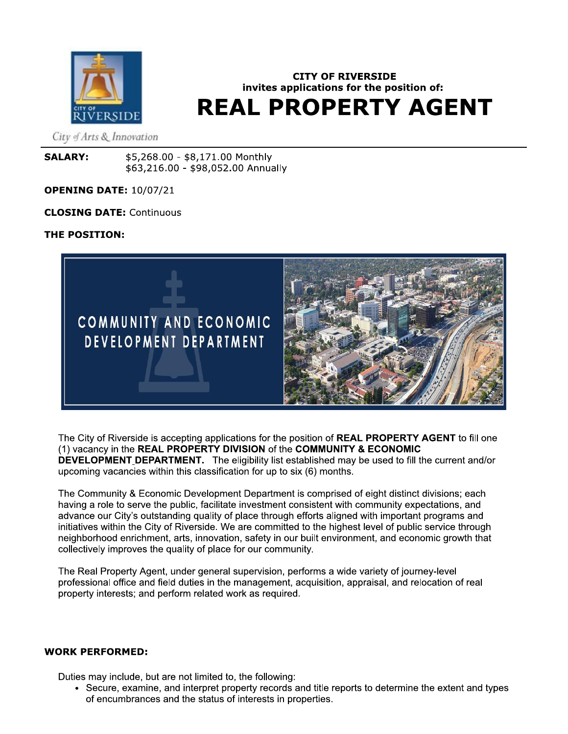

# **CITY OF RIVERSIDE** invites applications for the position of: **REAL PROPERTY AGENT**

City of Arts & Innovation

**SALARY:** \$5,268.00 - \$8,171.00 Monthly \$63,216.00 - \$98,052.00 Annually

## **OPENING DATE: 10/07/21**

**CLOSING DATE: Continuous** 

## THE POSITION:



The City of Riverside is accepting applications for the position of REAL PROPERTY AGENT to fill one (1) vacancy in the REAL PROPERTY DIVISION of the COMMUNITY & ECONOMIC DEVELOPMENT DEPARTMENT. The eligibility list established may be used to fill the current and/or upcoming vacancies within this classification for up to six (6) months.

The Community & Economic Development Department is comprised of eight distinct divisions; each having a role to serve the public, facilitate investment consistent with community expectations, and advance our City's outstanding quality of place through efforts aligned with important programs and initiatives within the City of Riverside. We are committed to the highest level of public service through neighborhood enrichment, arts, innovation, safety in our built environment, and economic growth that collectively improves the quality of place for our community.

The Real Property Agent, under general supervision, performs a wide variety of journey-level professional office and field duties in the management, acquisition, appraisal, and relocation of real property interests; and perform related work as required.

### **WORK PERFORMED:**

Duties may include, but are not limited to, the following:

• Secure, examine, and interpret property records and title reports to determine the extent and types of encumbrances and the status of interests in properties.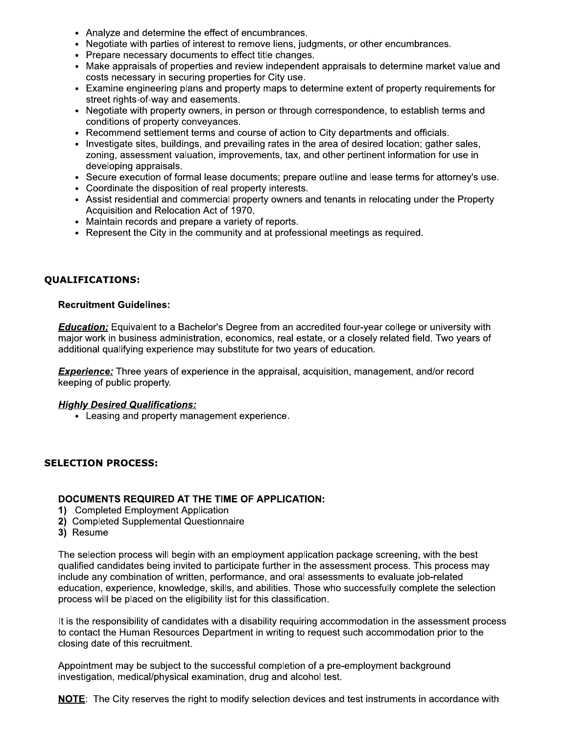- Analyze and determine the effect of encumbrances.
- Negotiate with parties of interest to remove liens, judgments, or other encumbrances.
- Prepare necessary documents to effect title changes.
- Make appraisals of properties and review independent appraisals to determine market value and costs necessary in securing properties for City use.
- Examine engineering plans and property maps to determine extent of property requirements for street rights-of-way and easements.
- Negotiate with property owners, in person or through correspondence, to establish terms and conditions of property conveyances.
- Recommend settlement terms and course of action to City departments and officials.
- Investigate sites, buildings, and prevailing rates in the area of desired location; gather sales, zoning, assessment valuation, improvements, tax, and other pertinent information for use in developing appraisals.
- Secure execution of formal lease documents; prepare outline and lease terms for attorney's use.
- Coordinate the disposition of real property interests.
- Assist residential and commercial property owners and tenants in relocating under the Property Acquisition and Relocation Act of 1970.
- Maintain records and prepare a variety of reports.
- Represent the City in the community and at professional meetings as required.

# **QUALIFICATIONS:**

## **Recruitment Guidelines:**

**Education:** Equivalent to a Bachelor's Degree from an accredited four-year college or university with major work in business administration, economics, real estate, or a closely related field. Two years of additional qualifying experience may substitute for two years of education.

**Experience:** Three years of experience in the appraisal, acquisition, management, and/or record keeping of public property.

## **Highly Desired Qualifications:**

• Leasing and property management experience.

## **SELECTION PROCESS:**

### **DOCUMENTS REQUIRED AT THE TIME OF APPLICATION:**

- 1) Completed Employment Application
- 2) Completed Supplemental Questionnaire
- 3) Resume

The selection process will begin with an employment application package screening, with the best qualified candidates being invited to participate further in the assessment process. This process may include any combination of written, performance, and oral assessments to evaluate job-related education, experience, knowledge, skills, and abilities. Those who successfully complete the selection process will be placed on the eligibility list for this classification.

It is the responsibility of candidates with a disability requiring accommodation in the assessment process to contact the Human Resources Department in writing to request such accommodation prior to the closing date of this recruitment.

Appointment may be subject to the successful completion of a pre-employment background investigation, medical/physical examination, drug and alcohol test.

NOTE: The City reserves the right to modify selection devices and test instruments in accordance with